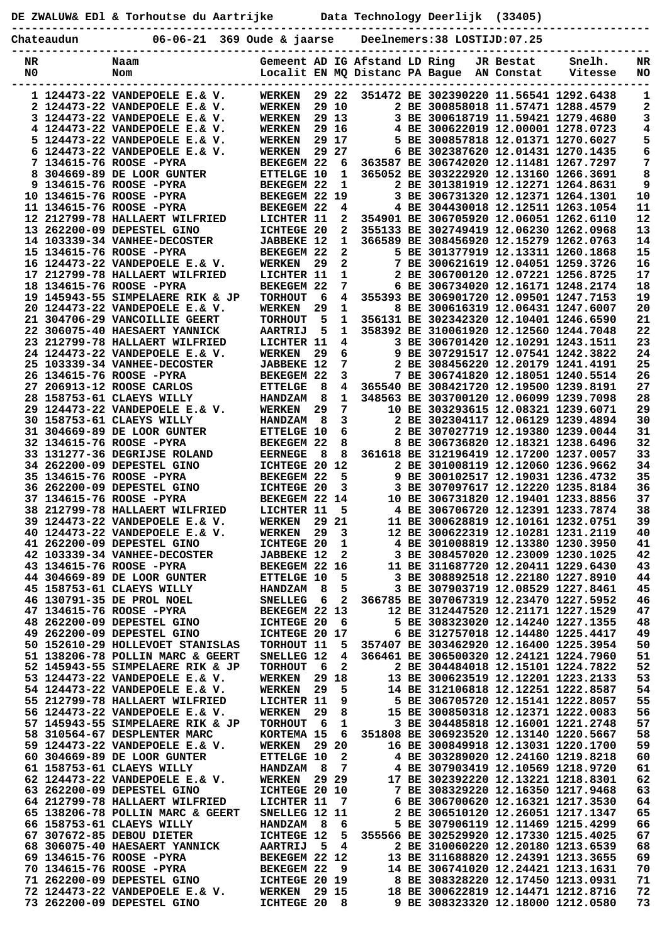**DE ZWALUW& EDl & Torhoutse du Aartrijke Data Technology Deerlijk (33405)**

**----------------------------------------------------------------------------------------------- Chateaudun 06-06-21 369 Oude & jaarse Deelnemers:38 LOSTIJD:07.25**

| NR | Naam                                                   | Gemeent AD IG Afstand LD Ring  |     |              |  |                                                                         | JR Bestat  | Snelh.  | NR       |
|----|--------------------------------------------------------|--------------------------------|-----|--------------|--|-------------------------------------------------------------------------|------------|---------|----------|
| N0 | Nom                                                    | Localit EN MQ Distanc PA Bague |     |              |  |                                                                         | AN Constat | Vitesse | NO       |
|    |                                                        |                                |     |              |  |                                                                         |            |         |          |
|    | 1 124473-22 VANDEPOELE E.& V.                          | <b>WERKEN</b>                  |     | 29 22        |  | 351472 BE 302390220 11.56541 1292.6438                                  |            |         | 1        |
|    | 2 124473-22 VANDEPOELE E.& V.                          | <b>WERKEN</b>                  |     | 29 10        |  | 2 BE 300858018 11.57471 1288.4579                                       |            |         | 2        |
|    | 3 124473-22 VANDEPOELE E.& V.                          | <b>WERKEN</b>                  |     | 29 13        |  | 3 BE 300618719 11.59421 1279.4680                                       |            |         | 3        |
|    | 4 124473-22 VANDEPOELE E.& V.                          | <b>WERKEN</b>                  |     | 29 16        |  | 4 BE 300622019 12.00001 1278.0723                                       |            |         | 4        |
|    | 5 124473-22 VANDEPOELE E.& V.                          | <b>WERKEN</b>                  |     | 29 17        |  | 5 BE 300857818 12.01371 1270.6027                                       |            |         | 5        |
|    | 6 124473-22 VANDEPOELE E.& V.                          | <b>WERKEN</b>                  |     | 29 27        |  | 6 BE 302387620 12.01431 1270.1435                                       |            |         | 6        |
|    | 7 134615-76 ROOSE -PYRA                                | BEKEGEM 22                     |     | 6            |  | 363587 BE 306742020 12.11481 1267.7297                                  |            |         | 7        |
| 8  | 304669-89 DE LOOR GUNTER                               | ETTELGE 10                     |     | 1            |  | 365052 BE 303222920 12.13160 1266.3691                                  |            |         | 8        |
|    | 9 134615-76 ROOSE -PYRA                                | BEKEGEM 22                     |     | 1            |  | 2 BE 301381919 12.12271 1264.8631                                       |            |         | 9        |
|    | 10 134615-76 ROOSE -PYRA                               | <b>BEKEGEM 22</b>              |     | 19           |  | 3 BE 306731320 12.12371 1264.1301                                       |            |         | 10       |
|    | 11 134615-76 ROOSE -PYRA                               | BEKEGEM 22                     |     | 4            |  | 4 BE 304430018 12.12511 1263.1054                                       |            |         | 11       |
|    | 12 212799-78 HALLAERT WILFRIED                         | LICHTER 11                     |     | $\mathbf{2}$ |  | 354901 BE 306705920 12.06051 1262.6110                                  |            |         | 12       |
|    | 13 262200-09 DEPESTEL GINO                             | ICHTEGE 20                     |     | $\mathbf{2}$ |  | 355133 BE 302749419 12.06230 1262.0968                                  |            |         | 13       |
|    | 14 103339-34 VANHEE-DECOSTER                           | <b>JABBEKE 12</b>              |     | $\mathbf{1}$ |  | 366589 BE 308456920 12.15279 1262.0763                                  |            |         | 14       |
|    | 15 134615-76 ROOSE -PYRA                               | BEKEGEM 22                     |     | $\mathbf{2}$ |  | 5 BE 301377919 12.13311 1260.1868                                       |            |         | 15       |
|    | 16 124473-22 VANDEPOELE E.& V.                         | <b>WERKEN</b>                  | 29  | 2            |  | 7 BE 300621619 12.04051 1259.3726                                       |            |         | 16       |
|    | 17 212799-78 HALLAERT WILFRIED                         | LICHTER 11                     |     | 1            |  | 2 BE 306700120 12.07221 1256.8725                                       |            |         | 17       |
|    | 18 134615-76 ROOSE -PYRA                               | BEKEGEM 22                     |     | 7            |  | 6 BE 306734020 12.16171 1248.2174                                       |            |         | 18       |
|    | 19 145943-55 SIMPELAERE RIK & JP                       | <b>TORHOUT</b>                 | 6   | 4            |  | 355393 BE 306901720 12.09501 1247.7153                                  |            |         | 19       |
|    | 20 124473-22 VANDEPOELE E.& V.                         | <b>WERKEN</b>                  | 29  | 1            |  | 8 BE 300616319 12.06431 1247.6007                                       |            |         | 20       |
|    | 21 304706-29 VANCOILLIE GEERT                          | <b>TORHOUT</b>                 | 5   | 1            |  | 356131 BE 302342320 12.10401 1246.6590                                  |            |         | 21       |
|    | 22 306075-40 HAESAERT YANNICK                          | <b>AARTRIJ</b>                 | 5   | 1            |  | 358392 BE 310061920 12.12560 1244.7048                                  |            |         | 22       |
|    | 23 212799-78 HALLAERT WILFRIED                         | LICHTER 11                     |     | 4            |  | 3 BE 306701420 12.10291 1243.1511                                       |            |         | 23       |
|    | 24 124473-22 VANDEPOELE E.& V.                         | <b>WERKEN</b>                  | 29  | 6            |  | 9 BE 307291517 12.07541 1242.3822                                       |            |         | 24       |
|    | 25 103339-34 VANHEE-DECOSTER                           | <b>JABBEKE 12</b>              |     | 7            |  | 2 BE 308456220 12.20179 1241.4191                                       |            |         | 25       |
|    | 26 134615-76 ROOSE -PYRA                               | BEKEGEM 22                     |     | 3            |  | 7 BE 306741820 12.18051 1240.5514                                       |            |         | 26       |
|    | 27 206913-12 ROOSE CARLOS                              | <b>ETTELGE</b>                 | 8   | 4            |  | 365540 BE 308421720 12.19500 1239.8191                                  |            |         | 27       |
|    | 28 158753-61 CLAEYS WILLY                              | <b>HANDZAM</b>                 | 8   | 1            |  | 348563 BE 303700120 12.06099 1239.7098                                  |            |         | 28       |
|    | 29 124473-22 VANDEPOELE E.& V.                         | <b>WERKEN</b>                  | 29  | 7            |  | 10 BE 303293615 12.08321 1239.6071                                      |            |         | 29       |
|    | 30 158753-61 CLAEYS WILLY                              | <b>HANDZAM</b>                 | 8   | 3            |  | 2 BE 302304117 12.06129 1239.4894                                       |            |         | 30       |
|    | 31 304669-89 DE LOOR GUNTER                            | <b>ETTELGE 10</b>              |     | 6            |  | 2 BE 307027719 12.19380 1239.0044                                       |            |         | 31       |
|    | 32 134615-76 ROOSE -PYRA                               | BEKEGEM 22                     |     | 8            |  | 8 BE 306736820 12.18321 1238.6496                                       |            |         | 32       |
|    | 33 131277-36 DEGRIJSE ROLAND                           | <b>EERNEGE</b>                 | 8   | 8            |  | 361618 BE 312196419 12.17200 1237.0057                                  |            |         | 33       |
|    | 34 262200-09 DEPESTEL GINO                             | ICHTEGE 20                     |     | 12           |  | 2 BE 301008119 12.12060 1236.9662                                       |            |         | 34       |
|    | 35 134615-76 ROOSE -PYRA                               | BEKEGEM 22                     |     | 5            |  | 9 BE 300102517 12.19031 1236.4732                                       |            |         | 35       |
|    | 36 262200-09 DEPESTEL GINO                             | ICHTEGE 20                     |     | 3            |  | 3 BE 307097617 12.12220 1235.8184                                       |            |         | 36       |
|    | 37 134615-76 ROOSE -PYRA                               | BEKEGEM 22 14                  |     |              |  | 10 BE 306731820 12.19401 1233.8856                                      |            |         | 37       |
|    | 38 212799-78 HALLAERT WILFRIED                         | LICHTER 11                     |     | 5            |  | 4 BE 306706720 12.12391 1233.7874                                       |            |         | 38       |
|    | 39 124473-22 VANDEPOELE E.& V.                         | <b>WERKEN</b>                  | 29  | 21           |  | 11 BE 300628819 12.10161 1232.0751                                      |            |         | 39       |
|    | 40 124473-22 VANDEPOELE E.& V.                         | <b>WERKEN</b>                  | 29  | 3            |  | 12 BE 300622319 12.10281 1231.2119                                      |            |         | 40       |
|    | 41 262200-09 DEPESTEL GINO                             | <b>ICHTEGE 20</b>              |     | 1            |  | 4 BE 301008819 12.13380 1230.3950                                       |            |         | 41       |
|    | 42 103339-34 VANHEE-DECOSTER                           | <b>JABBEKE 12</b>              |     | 2            |  | 3 BE 308457020 12.23009 1230.1025                                       |            |         | 42       |
|    | 43 134615-76 ROOSE -PYRA                               | BEKEGEM 22 16                  |     |              |  | 11 BE 311687720 12.20411 1229.6430                                      |            |         | 43       |
|    | 44 304669-89 DE LOOR GUNTER                            | <b>ETTELGE 10</b>              |     | 5            |  | 3 BE 308892518 12.22180 1227.8910                                       |            |         | 44       |
|    | 45 158753-61 CLAEYS WILLY                              | HANDZAM 8                      |     | 5            |  | 3 BE 307903719 12.08529 1227.8461                                       |            |         | 45       |
|    | 46 130791-35 DE PROL NOEL                              | <b>SNELLEG</b>                 | - 6 | 2            |  | 366785 BE 307067319 12.23470 1227.5952                                  |            |         | 46       |
|    | 47 134615-76 ROOSE -PYRA                               | BEKEGEM 22 13                  |     |              |  | 12 BE 312447520 12.21171 1227.1529                                      |            |         | 47       |
|    | 48 262200-09 DEPESTEL GINO                             | ICHTEGE 20                     |     | - 6          |  | 5 BE 308323020 12.14240 1227.1355                                       |            |         | 48       |
|    | 49 262200-09 DEPESTEL GINO                             | ICHTEGE 20 17                  |     |              |  | 6 BE 312757018 12.14480 1225.4417                                       |            |         | 49       |
|    | 50 152610-29 HOLLEVOET STANISLAS                       | TORHOUT 11                     |     | 5            |  | 357407 BE 303462920 12.16400 1225.3954                                  |            |         | 50       |
|    | 51 138206-78 POLLIN MARC & GEERT                       | SNELLEG 12                     |     | 4            |  | 366461 BE 306500320 12.24121 1224.7960                                  |            |         | 51       |
|    | 52 145943-55 SIMPELAERE RIK & JP                       | <b>TORHOUT</b>                 | 6   | 2            |  | 2 BE 304484018 12.15101 1224.7822                                       |            |         | 52       |
|    | 53 124473-22 VANDEPOELE E.& V.                         | <b>WERKEN</b>                  |     | 29 18        |  | 13 BE 300623519 12.12201 1223.2133                                      |            |         | 53       |
|    | 54 124473-22 VANDEPOELE E.& V.                         | <b>WERKEN</b>                  | 29  | 5            |  | 14 BE 312106818 12.12251 1222.8587                                      |            |         | 54       |
|    | 55 212799-78 HALLAERT WILFRIED                         | LICHTER 11                     |     | 9            |  | 5 BE 306705720 12.15141 1222.8057                                       |            |         | 55       |
|    | 56 124473-22 VANDEPOELE E.& V.                         | <b>WERKEN</b>                  | 29  | 8            |  | 15 BE 300850318 12.12371 1222.0083                                      |            |         | 56       |
|    | 57 145943-55 SIMPELAERE RIK & JP                       | <b>TORHOUT</b>                 | - 6 | $\mathbf 1$  |  | 3 BE 304485818 12.16001 1221.2748                                       |            |         | 57       |
|    | 58 310564-67 DESPLENTER MARC                           | KORTEMA 15                     |     | 6            |  | 351808 BE 306923520 12.13140 1220.5667                                  |            |         | 58       |
|    | 59 124473-22 VANDEPOELE E.& V.                         | <b>WERKEN</b>                  |     | 29 20        |  | 16 BE 300849918 12.13031 1220.1700                                      |            |         | 59       |
|    | 60 304669-89 DE LOOR GUNTER                            | <b>ETTELGE 10</b>              |     | $\mathbf{2}$ |  | 4 BE 303289020 12.24160 1219.8218                                       |            |         | 60       |
|    | 61 158753-61 CLAEYS WILLY                              | <b>HANDZAM</b>                 | - 8 | 7            |  | 4 BE 307903419 12.10569 1218.9720                                       |            |         | 61       |
|    | 62 124473-22 VANDEPOELE E.& V.                         | <b>WERKEN</b> 29 29            |     |              |  | 17 BE 302392220 12.13221 1218.8301                                      |            |         | 62       |
|    | 63 262200-09 DEPESTEL GINO                             | ICHTEGE 20 10                  |     |              |  | 7 BE 308329220 12.16350 1217.9468                                       |            |         | 63       |
|    | 64 212799-78 HALLAERT WILFRIED                         | LICHTER 11                     |     | 7            |  | 6 BE 306700620 12.16321 1217.3530                                       |            |         | 64       |
|    | 65 138206-78 POLLIN MARC & GEERT                       | SNELLEG 12 11                  |     |              |  | 2 BE 306510120 12.26051 1217.1347                                       |            |         | 65       |
|    | 66 158753-61 CLAEYS WILLY                              | HANDZAM 8                      |     | 6            |  | 5 BE 307906119 12.11469 1215.4299                                       |            |         | 66       |
|    | 67 307672-85 DEBOU DIETER                              | ICHTEGE 12                     |     | 5            |  | 355566 BE 302529920 12.17330 1215.4025                                  |            |         | 67       |
|    | 68 306075-40 HAESAERT YANNICK                          | <b>AARTRIJ</b>                 | - 5 | 4            |  | 2 BE 310060220 12.20180 1213.6539                                       |            |         | 68       |
|    | 69 134615-76 ROOSE -PYRA                               | BEKEGEM 22 12                  |     |              |  | 13 BE 311688820 12.24391 1213.3655                                      |            |         | 69       |
|    | 70 134615-76 ROOSE -PYRA<br>71 262200-09 DEPESTEL GINO | BEKEGEM 22<br>ICHTEGE 20 19    |     | - 9          |  | 14 BE 306741020 12.24421 1213.1631<br>8 BE 308328220 12.17450 1213.0931 |            |         | 70<br>71 |
|    | 72 124473-22 VANDEPOELE E.& V.                         | <b>WERKEN 29 15</b>            |     |              |  | 18 BE 300622819 12.14471 1212.8716                                      |            |         | 72       |
|    | 73 262200-09 DEPESTEL GINO                             | ICHTEGE 20 8                   |     |              |  | 9 BE 308323320 12.18000 1212.0580                                       |            |         | 73       |
|    |                                                        |                                |     |              |  |                                                                         |            |         |          |